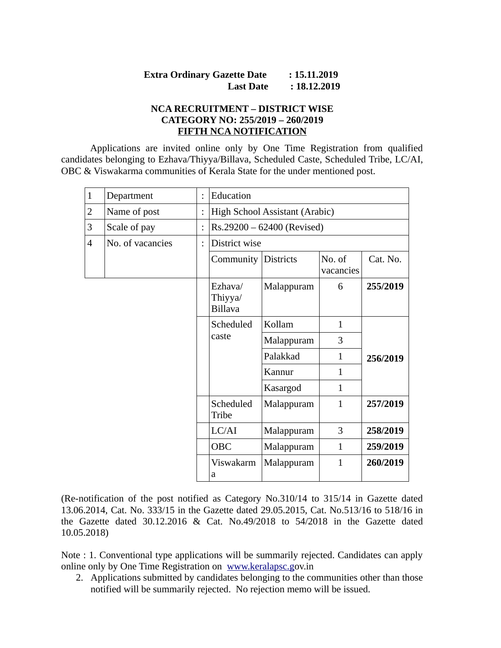# **Extra Ordinary Gazette Date : 15.11.2019 Last Date : 18.12.2019**

#### **NCA RECRUITMENT – DISTRICT WISE CATEGORY NO: 255/2019 – 260/2019 FIFTH NCA NOTIFICATION**

Applications are invited online only by One Time Registration from qualified candidates belonging to Ezhava/Thiyya/Billava, Scheduled Caste, Scheduled Tribe, LC/AI, OBC & Viswakarma communities of Kerala State for the under mentioned post.

| $\mathbf{1}$   | Department       | $\ddot{\cdot}$       | Education                            |            |                     |          |
|----------------|------------------|----------------------|--------------------------------------|------------|---------------------|----------|
| $\overline{2}$ | Name of post     |                      | High School Assistant (Arabic)       |            |                     |          |
| 3              | Scale of pay     |                      | Rs.29200 - 62400 (Revised)           |            |                     |          |
| $\overline{4}$ | No. of vacancies | $\ddot{\phantom{a}}$ | District wise                        |            |                     |          |
|                |                  |                      | Community Districts                  |            | No. of<br>vacancies | Cat. No. |
|                |                  |                      | Ezhava/<br>Thiyya/<br><b>Billava</b> | Malappuram | 6                   | 255/2019 |
|                |                  |                      | Scheduled                            | Kollam     | $\mathbf{1}$        | 256/2019 |
|                |                  |                      | caste                                | Malappuram | 3                   |          |
|                |                  |                      |                                      | Palakkad   | 1                   |          |
|                |                  |                      |                                      | Kannur     | $\mathbf{1}$        |          |
|                |                  |                      |                                      | Kasargod   | 1                   |          |
|                |                  |                      | Scheduled<br>Tribe                   | Malappuram | $\mathbf{1}$        | 257/2019 |
|                |                  |                      | LC/AI                                | Malappuram | 3                   | 258/2019 |
|                |                  |                      | <b>OBC</b>                           | Malappuram | $\mathbf{1}$        | 259/2019 |
|                |                  |                      | Viswakarm<br>a                       | Malappuram | $\mathbf{1}$        | 260/2019 |

(Re-notification of the post notified as Category No.310/14 to 315/14 in Gazette dated 13.06.2014, Cat. No. 333/15 in the Gazette dated 29.05.2015, Cat. No.513/16 to 518/16 in the Gazette dated 30.12.2016 & Cat. No.49/2018 to 54/2018 in the Gazette dated 10.05.2018)

Note : 1. Conventional type applications will be summarily rejected. Candidates can apply online only by One Time Registration on [www.keralapsc.gov.in](http://www.keralapsc.gov.in/)

2. Applications submitted by candidates belonging to the communities other than those notified will be summarily rejected. No rejection memo will be issued.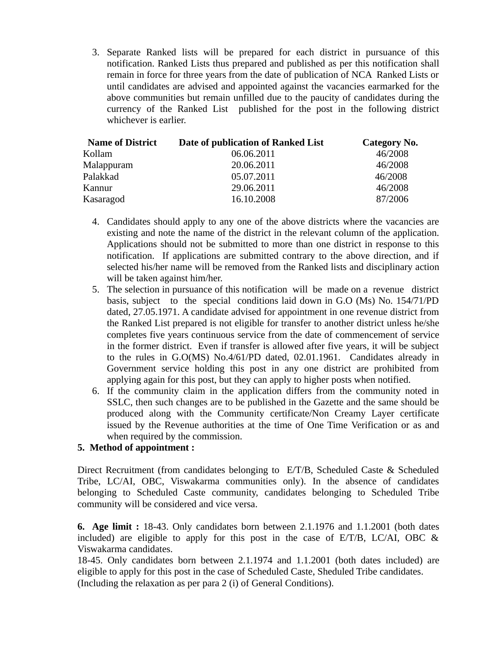3. Separate Ranked lists will be prepared for each district in pursuance of this notification. Ranked Lists thus prepared and published as per this notification shall remain in force for three years from the date of publication of NCA Ranked Lists or until candidates are advised and appointed against the vacancies earmarked for the above communities but remain unfilled due to the paucity of candidates during the currency of the Ranked List published for the post in the following district whichever is earlier.

| <b>Name of District</b> | Date of publication of Ranked List | Category No. |
|-------------------------|------------------------------------|--------------|
| Kollam                  | 06.06.2011                         | 46/2008      |
| Malappuram              | 20.06.2011                         | 46/2008      |
| Palakkad                | 05.07.2011                         | 46/2008      |
| Kannur                  | 29.06.2011                         | 46/2008      |
| Kasaragod               | 16.10.2008                         | 87/2006      |

- 4. Candidates should apply to any one of the above districts where the vacancies are existing and note the name of the district in the relevant column of the application. Applications should not be submitted to more than one district in response to this notification. If applications are submitted contrary to the above direction, and if selected his/her name will be removed from the Ranked lists and disciplinary action will be taken against him/her.
- 5. The selection in pursuance of this notification will be made on a revenue district basis, subject to the special conditions laid down in G.O (Ms) No. 154/71/PD dated, 27.05.1971. A candidate advised for appointment in one revenue district from the Ranked List prepared is not eligible for transfer to another district unless he/she completes five years continuous service from the date of commencement of service in the former district. Even if transfer is allowed after five years, it will be subject to the rules in G.O(MS) No.4/61/PD dated, 02.01.1961. Candidates already in Government service holding this post in any one district are prohibited from applying again for this post, but they can apply to higher posts when notified.
- 6. If the community claim in the application differs from the community noted in SSLC, then such changes are to be published in the Gazette and the same should be produced along with the Community certificate/Non Creamy Layer certificate issued by the Revenue authorities at the time of One Time Verification or as and when required by the commission.

## **5. Method of appointment :**

Direct Recruitment (from candidates belonging to E/T/B, Scheduled Caste & Scheduled Tribe, LC/AI, OBC, Viswakarma communities only). In the absence of candidates belonging to Scheduled Caste community, candidates belonging to Scheduled Tribe community will be considered and vice versa.

**6. Age limit :** 18-43. Only candidates born between 2.1.1976 and 1.1.2001 (both dates included) are eligible to apply for this post in the case of E/T/B, LC/AI, OBC & Viswakarma candidates.

18-45. Only candidates born between 2.1.1974 and 1.1.2001 (both dates included) are eligible to apply for this post in the case of Scheduled Caste, Sheduled Tribe candidates. (Including the relaxation as per para 2 (i) of General Conditions).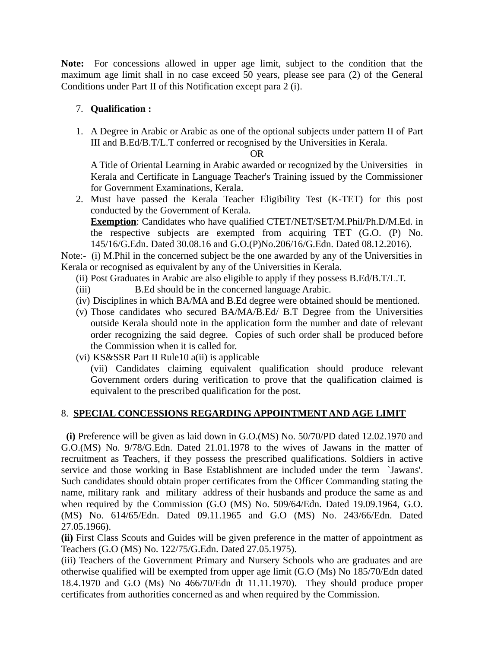**Note:** For concessions allowed in upper age limit, subject to the condition that the maximum age limit shall in no case exceed 50 years, please see para (2) of the General Conditions under Part II of this Notification except para 2 (i).

# 7. **Qualification :**

1. A Degree in Arabic or Arabic as one of the optional subjects under pattern II of Part III and B.Ed/B.T/L.T conferred or recognised by the Universities in Kerala.

OR

A Title of Oriental Learning in Arabic awarded or recognized by the Universities in Kerala and Certificate in Language Teacher's Training issued by the Commissioner for Government Examinations, Kerala.

2. Must have passed the Kerala Teacher Eligibility Test (K-TET) for this post conducted by the Government of Kerala.

**Exemption**: Candidates who have qualified CTET/NET/SET/M.Phil/Ph.D/M.Ed. in the respective subjects are exempted from acquiring TET (G.O. (P) No. 145/16/G.Edn. Dated 30.08.16 and G.O.(P)No.206/16/G.Edn. Dated 08.12.2016).

Note:- (i) M.Phil in the concerned subject be the one awarded by any of the Universities in Kerala or recognised as equivalent by any of the Universities in Kerala.

- (ii) Post Graduates in Arabic are also eligible to apply if they possess B.Ed/B.T/L.T.
- (iii) B.Ed should be in the concerned language Arabic.
- (iv) Disciplines in which BA/MA and B.Ed degree were obtained should be mentioned.
- (v) Those candidates who secured BA/MA/B.Ed/ B.T Degree from the Universities outside Kerala should note in the application form the number and date of relevant order recognizing the said degree. Copies of such order shall be produced before the Commission when it is called for.
- (vi) KS&SSR Part II Rule10 a(ii) is applicable

(vii) Candidates claiming equivalent qualification should produce relevant Government orders during verification to prove that the qualification claimed is equivalent to the prescribed qualification for the post.

## 8. **SPECIAL CONCESSIONS REGARDING APPOINTMENT AND AGE LIMIT**

 **(i)** Preference will be given as laid down in G.O.(MS) No. 50/70/PD dated 12.02.1970 and G.O.(MS) No. 9/78/G.Edn. Dated 21.01.1978 to the wives of Jawans in the matter of recruitment as Teachers, if they possess the prescribed qualifications. Soldiers in active service and those working in Base Establishment are included under the term `Jawans'. Such candidates should obtain proper certificates from the Officer Commanding stating the name, military rank and military address of their husbands and produce the same as and when required by the Commission (G.O (MS) No. 509/64/Edn. Dated 19.09.1964, G.O. (MS) No. 614/65/Edn. Dated 09.11.1965 and G.O (MS) No. 243/66/Edn. Dated 27.05.1966).

**(ii)** First Class Scouts and Guides will be given preference in the matter of appointment as Teachers (G.O (MS) No. 122/75/G.Edn. Dated 27.05.1975).

(iii) Teachers of the Government Primary and Nursery Schools who are graduates and are otherwise qualified will be exempted from upper age limit (G.O (Ms) No 185/70/Edn dated 18.4.1970 and G.O (Ms) No 466/70/Edn dt 11.11.1970). They should produce proper certificates from authorities concerned as and when required by the Commission.